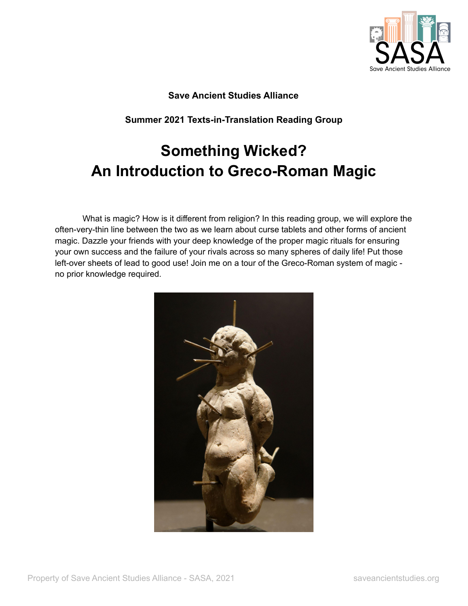

# **Save Ancient Studies Alliance**

**Summer 2021 Texts-in-Translation Reading Group**

# **Something Wicked? An Introduction to Greco-Roman Magic**

What is magic? How is it different from religion? In this reading group, we will explore the often-very-thin line between the two as we learn about curse tablets and other forms of ancient magic. Dazzle your friends with your deep knowledge of the proper magic rituals for ensuring your own success and the failure of your rivals across so many spheres of daily life! Put those left-over sheets of lead to good use! Join me on a tour of the Greco-Roman system of magic no prior knowledge required.

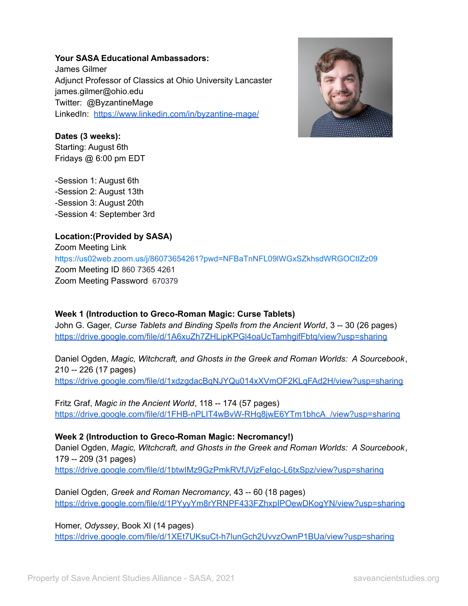### **Your SASA Educational Ambassadors:**

James Gilmer Adjunct Professor of Classics at Ohio University Lancaster james.gilmer@ohio.edu Twitter: @ByzantineMage LinkedIn: <https://www.linkedin.com/in/byzantine-mage/>



#### **Dates (3 weeks):**

Starting: August 6th Fridays @ 6:00 pm EDT

-Session 1: August 6th -Session 2: August 13th -Session 3: August 20th -Session 4: September 3rd

## **Location:(Provided by SASA)**

Zoom Meeting Link <https://us02web.zoom.us/j/86073654261?pwd=NFBaTnNFL09lWGxSZkhsdWRGOCtIZz09> Zoom Meeting ID 860 7365 4261 Zoom Meeting Password 670379

## **Week 1 (Introduction to Greco-Roman Magic: Curse Tablets)**

John G. Gager, *Curse Tablets and Binding Spells from the Ancient World*, 3 -- 30 (26 pages) <https://drive.google.com/file/d/1A6xuZh7ZHLipKPGl4oaUcTamhgifFbtq/view?usp=sharing>

Daniel Ogden, *Magic, Witchcraft, and Ghosts in the Greek and Roman Worlds: A Sourcebook*, 210 -- 226 (17 pages) <https://drive.google.com/file/d/1xdzgdacBqNJYQu014xXVmOF2KLqFAd2H/view?usp=sharing>

Fritz Graf, *Magic in the Ancient World*, 118 -- 174 (57 pages) [https://drive.google.com/file/d/1FHB-nPLIT4wBvW-RHq8jwE6YTm1bhcA\\_/view?usp=sharing](https://drive.google.com/file/d/1FHB-nPLIT4wBvW-RHq8jwE6YTm1bhcA_/view?usp=sharing)

**Week 2 (Introduction to Greco-Roman Magic: Necromancy!)** Daniel Ogden, *Magic, Witchcraft, and Ghosts in the Greek and Roman Worlds: A Sourcebook*, 179 -- 209 (31 pages) <https://drive.google.com/file/d/1btwIMz9GzPmkRVfJVjzFeIgc-L6txSpz/view?usp=sharing>

Daniel Ogden, *Greek and Roman Necromancy*, 43 -- 60 (18 pages) <https://drive.google.com/file/d/1PYyyYm8rYRNPF433FZhxpIPOewDKogYN/view?usp=sharing>

Homer, *Odyssey*, Book XI (14 pages) <https://drive.google.com/file/d/1XEt7UKsuCt-h7lunGch2UvvzOwnP1BUa/view?usp=sharing>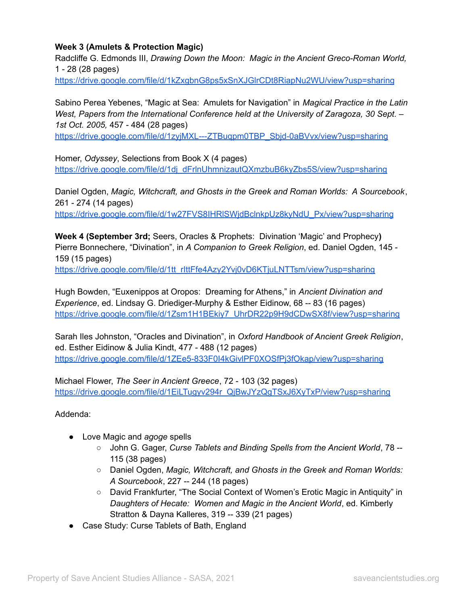## **Week 3 (Amulets & Protection Magic)**

Radcliffe G. Edmonds III, *Drawing Down the Moon: Magic in the Ancient Greco-Roman World,* 1 - 28 (28 pages)

<https://drive.google.com/file/d/1kZxgbnG8ps5xSnXJGlrCDt8RiapNu2WU/view?usp=sharing>

Sabino Perea Yebenes, "Magic at Sea: Amulets for Navigation" in *Magical Practice in the Latin West, Papers from the International Conference held at the University of Zaragoza, 30 Sept. – 1st Oct. 2005,* 457 - 484 (28 pages)

[https://drive.google.com/file/d/1zyjMXL---ZTBuqpm0TBP\\_Sbjd-0aBVvx/view?usp=sharing](https://drive.google.com/file/d/1zyjMXL---ZTBuqpm0TBP_Sbjd-0aBVvx/view?usp=sharing)

Homer, *Odyssey*, Selections from Book X (4 pages) [https://drive.google.com/file/d/1dj\\_dFrlnUhmnizautQXmzbuB6kyZbs5S/view?usp=sharing](https://drive.google.com/file/d/1dj_dFrlnUhmnizautQXmzbuB6kyZbs5S/view?usp=sharing)

Daniel Ogden, *Magic, Witchcraft, and Ghosts in the Greek and Roman Worlds: A Sourcebook*, 261 - 274 (14 pages)

[https://drive.google.com/file/d/1w27FVS8IHRlSWjdBclnkpUz8kyNdU\\_Px/view?usp=sharing](https://drive.google.com/file/d/1w27FVS8IHRlSWjdBclnkpUz8kyNdU_Px/view?usp=sharing)

**Week 4 (September 3rd;** Seers, Oracles & Prophets: Divination 'Magic' and Prophecy**)** Pierre Bonnechere, "Divination", in *A Companion to Greek Religion*, ed. Daniel Ogden, 145 - 159 (15 pages)

[https://drive.google.com/file/d/1tt\\_rIttFfe4Azy2Yvj0vD6KTjuLNTTsm/view?usp=sharing](https://drive.google.com/file/d/1tt_rIttFfe4Azy2Yvj0vD6KTjuLNTTsm/view?usp=sharing)

Hugh Bowden, "Euxenippos at Oropos: Dreaming for Athens," in *Ancient Divination and Experience*, ed. Lindsay G. Driediger-Murphy & Esther Eidinow, 68 -- 83 (16 pages) [https://drive.google.com/file/d/1Zsm1H1BEkiy7\\_UhrDR22p9H9dCDwSX8f/view?usp=sharing](https://drive.google.com/file/d/1Zsm1H1BEkiy7_UhrDR22p9H9dCDwSX8f/view?usp=sharing)

Sarah Iles Johnston, "Oracles and Divination", in *Oxford Handbook of Ancient Greek Religion*, ed. Esther Eidinow & Julia Kindt, 477 - 488 (12 pages) <https://drive.google.com/file/d/1ZEe5-833F0I4kGivlPF0XOSfPj3fOkap/view?usp=sharing>

Michael Flower, *The Seer in Ancient Greece*, 72 - 103 (32 pages) [https://drive.google.com/file/d/1EiLTugyv294r\\_QjBwJYzQgTSxJ6XyTxP/view?usp=sharing](https://drive.google.com/file/d/1EiLTugyv294r_QjBwJYzQgTSxJ6XyTxP/view?usp=sharing)

Addenda:

- Love Magic and *agoge* spells
	- John G. Gager, *Curse Tablets and Binding Spells from the Ancient World*, 78 -- 115 (38 pages)
	- Daniel Ogden, *Magic, Witchcraft, and Ghosts in the Greek and Roman Worlds: A Sourcebook*, 227 -- 244 (18 pages)
	- David Frankfurter, "The Social Context of Women's Erotic Magic in Antiquity" in *Daughters of Hecate: Women and Magic in the Ancient World*, ed. Kimberly Stratton & Dayna Kalleres, 319 -- 339 (21 pages)
- Case Study: Curse Tablets of Bath, England